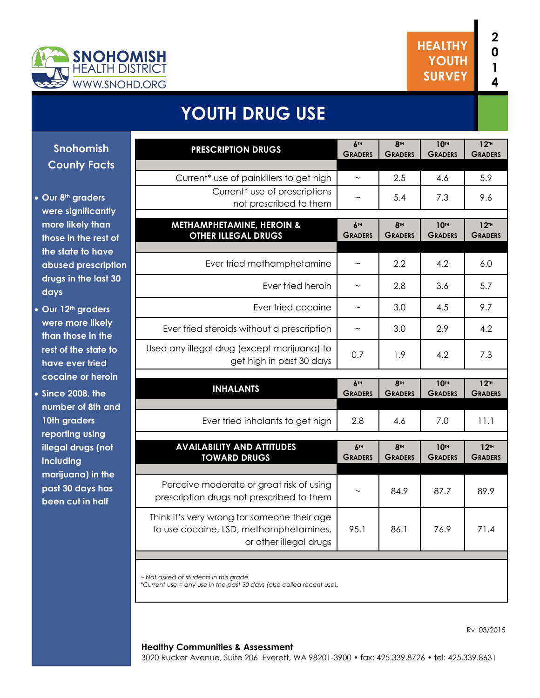

# **YOUTH DRUG USE**

**Snohomish County Facts**

- **Our 8th graders were significantly more likely than those in the rest of the state to have abused prescription drugs in the last 30 days**
- **Our 12th graders were more likely than those in the rest of the state to have ever tried cocaine or heroin**
- **Since 2008, the number of 8th and 10th graders reporting using illegal drugs (not including marijuana) in the past 30 days has been cut in half**

| <b>PRESCRIPTION DRUGS</b>                                                                                       | 6TH<br><b>GRADERS</b> | <b>8TH</b><br><b>GRADERS</b>      | 10TH<br><b>GRADERS</b>        | 12 <sup>TH</sup><br><b>GRADERS</b>   |
|-----------------------------------------------------------------------------------------------------------------|-----------------------|-----------------------------------|-------------------------------|--------------------------------------|
| Current <sup>*</sup> use of painkillers to get high                                                             | $\tilde{\phantom{a}}$ | 2.5                               | 4.6                           | 5.9                                  |
| Current <sup>*</sup> use of prescriptions<br>not prescribed to them                                             |                       | 5.4                               | 7.3                           | 9.6                                  |
| <b>METHAMPHETAMINE, HEROIN &amp;</b><br><b>OTHER ILLEGAL DRUGS</b>                                              | 6TH<br><b>GRADERS</b> | <b>8TH</b><br><b>GRADERS</b>      | <b>10TH</b><br><b>GRADERS</b> | 12 <sup>TH</sup><br><b>GRADERS</b>   |
| Ever tried methamphetamine                                                                                      | $\tilde{\phantom{a}}$ | 2.2                               | 4.2                           | 6.0                                  |
| Ever tried heroin                                                                                               | $\sim$                | 2.8                               | 3.6                           | 5.7                                  |
| Ever tried cocaine                                                                                              | $\tilde{\phantom{a}}$ | 3.0                               | 4.5                           | 9.7                                  |
| Ever tried steroids without a prescription                                                                      | $\tilde{}$            | 3.0                               | 2.9                           | 4.2                                  |
| Used any illegal drug (except marijuana) to<br>get high in past 30 days                                         | 0.7                   | 1.9                               | 4.2                           | 7.3                                  |
| <b>INHALANTS</b>                                                                                                | 6TH<br><b>GRADERS</b> | 8 <sup>TH</sup><br><b>GRADERS</b> | <b>10TH</b><br><b>GRADERS</b> | 12TH<br><b>GRADERS</b>               |
| Ever tried inhalants to get high                                                                                | 2.8                   | 4.6                               | 7.0                           | 11.1                                 |
| <b>AVAILABILITY AND ATTITUDES</b><br><b>TOWARD DRUGS</b>                                                        | 6TH<br><b>GRADERS</b> | <b>8TH</b><br><b>GRADERS</b>      | <b>10TH</b><br><b>GRADERS</b> | $12$ <sup>TH</sup><br><b>GRADERS</b> |
| Perceive moderate or great risk of using<br>prescription drugs not prescribed to them                           |                       | 84.9                              | 87.7                          | 89.9                                 |
| Think it's very wrong for someone their age<br>to use cocaine, LSD, methamphetamines,<br>or other illegal drugs | 95.1                  | 86.1                              | 76.9                          | 71.4                                 |
|                                                                                                                 |                       |                                   |                               |                                      |
| ~ Not asked of students in this grade                                                                           |                       |                                   |                               |                                      |

*\*Current use = any use in the past 30 days (also called recent use).* 

#### **Healthy Communities & Assessment**

3020 Rucker Avenue, Suite 206 Everett, WA 98201-3900 • fax: 425.339.8726 • tel: 425.339.8631